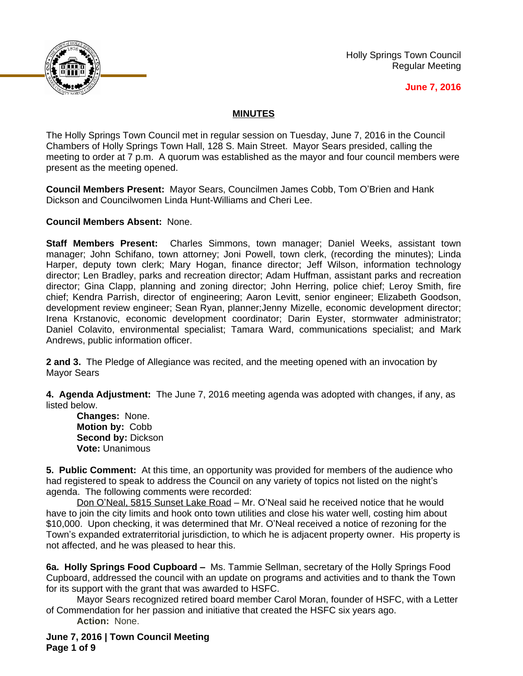

Holly Springs Town Council Regular Meeting

## **June 7, 2016**

## **MINUTES**

The Holly Springs Town Council met in regular session on Tuesday, June 7, 2016 in the Council Chambers of Holly Springs Town Hall, 128 S. Main Street. Mayor Sears presided, calling the meeting to order at 7 p.m. A quorum was established as the mayor and four council members were present as the meeting opened.

**Council Members Present:** Mayor Sears, Councilmen James Cobb, Tom O'Brien and Hank Dickson and Councilwomen Linda Hunt-Williams and Cheri Lee.

**Council Members Absent:** None.

**Staff Members Present:** Charles Simmons, town manager; Daniel Weeks, assistant town manager; John Schifano, town attorney; Joni Powell, town clerk, (recording the minutes); Linda Harper, deputy town clerk; Mary Hogan, finance director; Jeff Wilson, information technology director; Len Bradley, parks and recreation director; Adam Huffman, assistant parks and recreation director; Gina Clapp, planning and zoning director; John Herring, police chief; Leroy Smith, fire chief; Kendra Parrish, director of engineering; Aaron Levitt, senior engineer; Elizabeth Goodson, development review engineer; Sean Ryan, planner;Jenny Mizelle, economic development director; Irena Krstanovic, economic development coordinator; Darin Eyster, stormwater administrator; Daniel Colavito, environmental specialist; Tamara Ward, communications specialist; and Mark Andrews, public information officer.

**2 and 3.** The Pledge of Allegiance was recited, and the meeting opened with an invocation by Mayor Sears

**4. Agenda Adjustment:** The June 7, 2016 meeting agenda was adopted with changes, if any, as listed below.

**Changes:** None. **Motion by:** Cobb **Second by:** Dickson **Vote:** Unanimous

**5. Public Comment:** At this time, an opportunity was provided for members of the audience who had registered to speak to address the Council on any variety of topics not listed on the night's agenda. The following comments were recorded:

Don O'Neal, 5815 Sunset Lake Road – Mr. O'Neal said he received notice that he would have to join the city limits and hook onto town utilities and close his water well, costing him about \$10,000. Upon checking, it was determined that Mr. O'Neal received a notice of rezoning for the Town's expanded extraterritorial jurisdiction, to which he is adjacent property owner. His property is not affected, and he was pleased to hear this.

**6a. Holly Springs Food Cupboard –** Ms. Tammie Sellman, secretary of the Holly Springs Food Cupboard, addressed the council with an update on programs and activities and to thank the Town for its support with the grant that was awarded to HSFC.

Mayor Sears recognized retired board member Carol Moran, founder of HSFC, with a Letter of Commendation for her passion and initiative that created the HSFC six years ago. **Action:** None.

**June 7, 2016 | Town Council Meeting Page 1 of 9**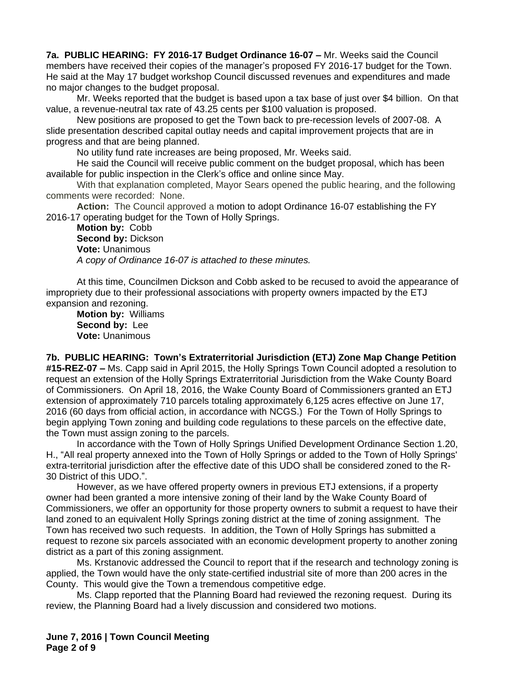**7a. PUBLIC HEARING: FY 2016-17 Budget Ordinance 16-07 –** Mr. Weeks said the Council members have received their copies of the manager's proposed FY 2016-17 budget for the Town. He said at the May 17 budget workshop Council discussed revenues and expenditures and made no major changes to the budget proposal.

Mr. Weeks reported that the budget is based upon a tax base of just over \$4 billion. On that value, a revenue-neutral tax rate of 43.25 cents per \$100 valuation is proposed.

New positions are proposed to get the Town back to pre-recession levels of 2007-08. A slide presentation described capital outlay needs and capital improvement projects that are in progress and that are being planned.

No utility fund rate increases are being proposed, Mr. Weeks said.

He said the Council will receive public comment on the budget proposal, which has been available for public inspection in the Clerk's office and online since May.

With that explanation completed, Mayor Sears opened the public hearing, and the following comments were recorded: None.

**Action:** The Council approved a motion to adopt Ordinance 16-07 establishing the FY 2016-17 operating budget for the Town of Holly Springs.

**Motion by:** Cobb **Second by: Dickson Vote:** Unanimous *A copy of Ordinance 16-07 is attached to these minutes.*

At this time, Councilmen Dickson and Cobb asked to be recused to avoid the appearance of impropriety due to their professional associations with property owners impacted by the ETJ expansion and rezoning.

**Motion by:** Williams **Second by:** Lee **Vote:** Unanimous

**7b. PUBLIC HEARING: Town's Extraterritorial Jurisdiction (ETJ) Zone Map Change Petition #15-REZ-07 –** Ms. Capp said in April 2015, the Holly Springs Town Council adopted a resolution to request an extension of the Holly Springs Extraterritorial Jurisdiction from the Wake County Board of Commissioners. On April 18, 2016, the Wake County Board of Commissioners granted an ETJ extension of approximately 710 parcels totaling approximately 6,125 acres effective on June 17, 2016 (60 days from official action, in accordance with NCGS.) For the Town of Holly Springs to begin applying Town zoning and building code regulations to these parcels on the effective date, the Town must assign zoning to the parcels.

In accordance with the Town of Holly Springs Unified Development Ordinance Section 1.20, H., "All real property annexed into the Town of Holly Springs or added to the Town of Holly Springs' extra-territorial jurisdiction after the effective date of this UDO shall be considered zoned to the R-30 District of this UDO.".

However, as we have offered property owners in previous ETJ extensions, if a property owner had been granted a more intensive zoning of their land by the Wake County Board of Commissioners, we offer an opportunity for those property owners to submit a request to have their land zoned to an equivalent Holly Springs zoning district at the time of zoning assignment. The Town has received two such requests. In addition, the Town of Holly Springs has submitted a request to rezone six parcels associated with an economic development property to another zoning district as a part of this zoning assignment.

Ms. Krstanovic addressed the Council to report that if the research and technology zoning is applied, the Town would have the only state-certified industrial site of more than 200 acres in the County. This would give the Town a tremendous competitive edge.

Ms. Clapp reported that the Planning Board had reviewed the rezoning request. During its review, the Planning Board had a lively discussion and considered two motions.

**June 7, 2016 | Town Council Meeting Page 2 of 9**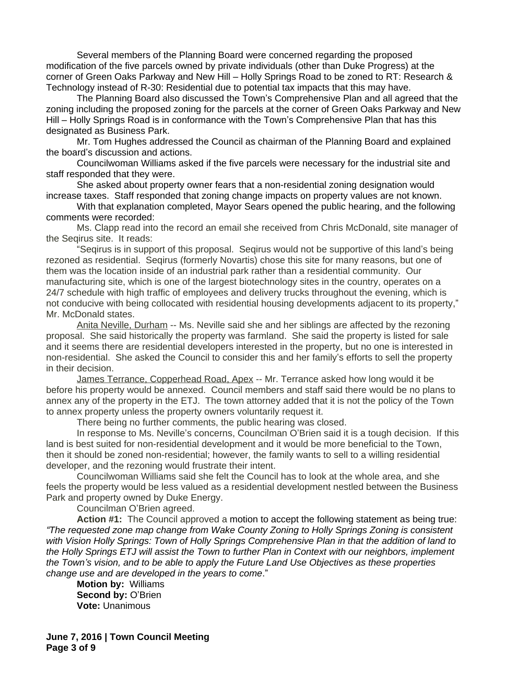Several members of the Planning Board were concerned regarding the proposed modification of the five parcels owned by private individuals (other than Duke Progress) at the corner of Green Oaks Parkway and New Hill – Holly Springs Road to be zoned to RT: Research & Technology instead of R-30: Residential due to potential tax impacts that this may have.

The Planning Board also discussed the Town's Comprehensive Plan and all agreed that the zoning including the proposed zoning for the parcels at the corner of Green Oaks Parkway and New Hill – Holly Springs Road is in conformance with the Town's Comprehensive Plan that has this designated as Business Park.

Mr. Tom Hughes addressed the Council as chairman of the Planning Board and explained the board's discussion and actions.

Councilwoman Williams asked if the five parcels were necessary for the industrial site and staff responded that they were.

She asked about property owner fears that a non-residential zoning designation would increase taxes. Staff responded that zoning change impacts on property values are not known.

With that explanation completed, Mayor Sears opened the public hearing, and the following comments were recorded:

Ms. Clapp read into the record an email she received from Chris McDonald, site manager of the Seqirus site. It reads:

"Seqirus is in support of this proposal. Seqirus would not be supportive of this land's being rezoned as residential. Seqirus (formerly Novartis) chose this site for many reasons, but one of them was the location inside of an industrial park rather than a residential community. Our manufacturing site, which is one of the largest biotechnology sites in the country, operates on a 24/7 schedule with high traffic of employees and delivery trucks throughout the evening, which is not conducive with being collocated with residential housing developments adjacent to its property," Mr. McDonald states.

Anita Neville, Durham -- Ms. Neville said she and her siblings are affected by the rezoning proposal. She said historically the property was farmland. She said the property is listed for sale and it seems there are residential developers interested in the property, but no one is interested in non-residential. She asked the Council to consider this and her family's efforts to sell the property in their decision.

James Terrance, Copperhead Road, Apex -- Mr. Terrance asked how long would it be before his property would be annexed. Council members and staff said there would be no plans to annex any of the property in the ETJ. The town attorney added that it is not the policy of the Town to annex property unless the property owners voluntarily request it.

There being no further comments, the public hearing was closed.

In response to Ms. Neville's concerns, Councilman O'Brien said it is a tough decision. If this land is best suited for non-residential development and it would be more beneficial to the Town, then it should be zoned non-residential; however, the family wants to sell to a willing residential developer, and the rezoning would frustrate their intent.

Councilwoman Williams said she felt the Council has to look at the whole area, and she feels the property would be less valued as a residential development nestled between the Business Park and property owned by Duke Energy.

Councilman O'Brien agreed.

**Action #1:** The Council approved a motion to accept the following statement as being true: *"The requested zone map change from Wake County Zoning to Holly Springs Zoning is consistent with Vision Holly Springs: Town of Holly Springs Comprehensive Plan in that the addition of land to the Holly Springs ETJ will assist the Town to further Plan in Context with our neighbors, implement the Town's vision, and to be able to apply the Future Land Use Objectives as these properties change use and are developed in the years to come*."

**Motion by:** Williams **Second by:** O'Brien **Vote:** Unanimous

**June 7, 2016 | Town Council Meeting Page 3 of 9**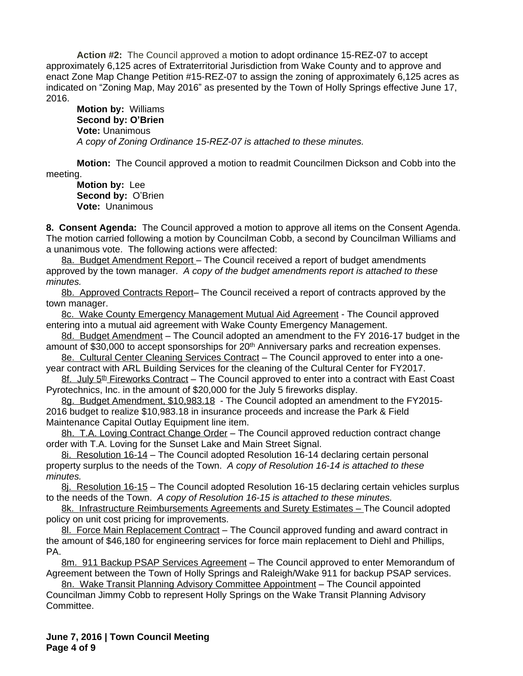**Action #2:** The Council approved a motion to adopt ordinance 15-REZ-07 to accept approximately 6,125 acres of Extraterritorial Jurisdiction from Wake County and to approve and enact Zone Map Change Petition #15-REZ-07 to assign the zoning of approximately 6,125 acres as indicated on "Zoning Map, May 2016" as presented by the Town of Holly Springs effective June 17, 2016.

**Motion by:** Williams **Second by: O'Brien Vote:** Unanimous *A copy of Zoning Ordinance 15-REZ-07 is attached to these minutes.*

**Motion:** The Council approved a motion to readmit Councilmen Dickson and Cobb into the meeting.

**Motion by:** Lee **Second by:** O'Brien **Vote:** Unanimous

**8. Consent Agenda:** The Council approved a motion to approve all items on the Consent Agenda. The motion carried following a motion by Councilman Cobb, a second by Councilman Williams and a unanimous vote. The following actions were affected:

8a. Budget Amendment Report - The Council received a report of budget amendments approved by the town manager. *A copy of the budget amendments report is attached to these minutes.*

8b. Approved Contracts Report– The Council received a report of contracts approved by the town manager.

8c. Wake County Emergency Management Mutual Aid Agreement - The Council approved entering into a mutual aid agreement with Wake County Emergency Management.

8d. Budget Amendment – The Council adopted an amendment to the FY 2016-17 budget in the amount of \$30,000 to accept sponsorships for 20<sup>th</sup> Anniversary parks and recreation expenses.

8e. Cultural Center Cleaning Services Contract – The Council approved to enter into a oneyear contract with ARL Building Services for the cleaning of the Cultural Center for FY2017.

<u>8f. July 5<sup>th</sup> Fireworks Contract</u> – The Council approved to enter into a contract with East Coast Pyrotechnics, Inc. in the amount of \$20,000 for the July 5 fireworks display.

8g. Budget Amendment, \$10,983.18 - The Council adopted an amendment to the FY2015-2016 budget to realize \$10,983.18 in insurance proceeds and increase the Park & Field Maintenance Capital Outlay Equipment line item.

8h. T.A. Loving Contract Change Order – The Council approved reduction contract change order with T.A. Loving for the Sunset Lake and Main Street Signal.

8i. Resolution 16-14 – The Council adopted Resolution 16-14 declaring certain personal property surplus to the needs of the Town.*A copy of Resolution 16-14 is attached to these minutes.*

8j. Resolution 16-15 – The Council adopted Resolution 16-15 declaring certain vehicles surplus to the needs of the Town. *A copy of Resolution 16-15 is attached to these minutes.*

8k. Infrastructure Reimbursements Agreements and Surety Estimates – The Council adopted policy on unit cost pricing for improvements.

8l. Force Main Replacement Contract - The Council approved funding and award contract in the amount of \$46,180 for engineering services for force main replacement to Diehl and Phillips, PA.

8m. 911 Backup PSAP Services Agreement - The Council approved to enter Memorandum of Agreement between the Town of Holly Springs and Raleigh/Wake 911 for backup PSAP services.

8n. Wake Transit Planning Advisory Committee Appointment – The Council appointed Councilman Jimmy Cobb to represent Holly Springs on the Wake Transit Planning Advisory Committee.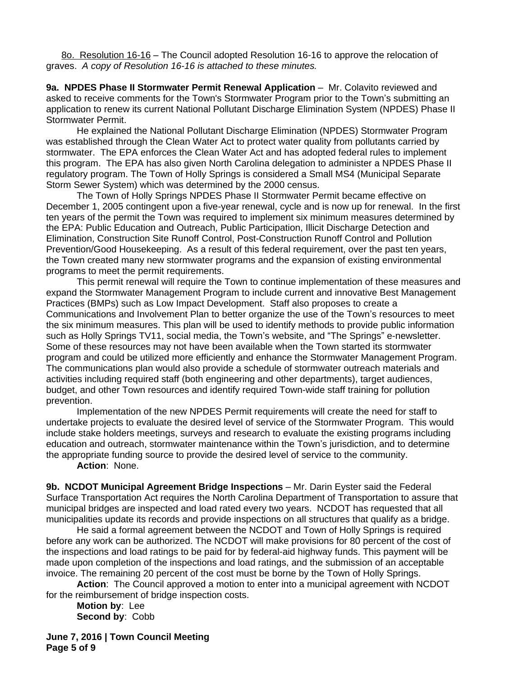8o. Resolution 16-16 – The Council adopted Resolution 16-16 to approve the relocation of graves. *A copy of Resolution 16-16 is attached to these minutes.*

**9a. NPDES Phase II Stormwater Permit Renewal Application – Mr. Colavito reviewed and** asked to receive comments for the Town's Stormwater Program prior to the Town's submitting an application to renew its current National Pollutant Discharge Elimination System (NPDES) Phase II Stormwater Permit.

He explained the National Pollutant Discharge Elimination (NPDES) Stormwater Program was established through the Clean Water Act to protect water quality from pollutants carried by stormwater. The EPA enforces the Clean Water Act and has adopted federal rules to implement this program. The EPA has also given North Carolina delegation to administer a NPDES Phase II regulatory program. The Town of Holly Springs is considered a Small MS4 (Municipal Separate Storm Sewer System) which was determined by the 2000 census.

 The Town of Holly Springs NPDES Phase II Stormwater Permit became effective on December 1, 2005 contingent upon a five-year renewal, cycle and is now up for renewal. In the first ten years of the permit the Town was required to implement six minimum measures determined by the EPA: Public Education and Outreach, Public Participation, Illicit Discharge Detection and Elimination, Construction Site Runoff Control, Post-Construction Runoff Control and Pollution Prevention/Good Housekeeping. As a result of this federal requirement, over the past ten years, the Town created many new stormwater programs and the expansion of existing environmental programs to meet the permit requirements.

This permit renewal will require the Town to continue implementation of these measures and expand the Stormwater Management Program to include current and innovative Best Management Practices (BMPs) such as Low Impact Development. Staff also proposes to create a Communications and Involvement Plan to better organize the use of the Town's resources to meet the six minimum measures. This plan will be used to identify methods to provide public information such as Holly Springs TV11, social media, the Town's website, and "The Springs" e-newsletter. Some of these resources may not have been available when the Town started its stormwater program and could be utilized more efficiently and enhance the Stormwater Management Program. The communications plan would also provide a schedule of stormwater outreach materials and activities including required staff (both engineering and other departments), target audiences, budget, and other Town resources and identify required Town-wide staff training for pollution prevention.

Implementation of the new NPDES Permit requirements will create the need for staff to undertake projects to evaluate the desired level of service of the Stormwater Program. This would include stake holders meetings, surveys and research to evaluate the existing programs including education and outreach, stormwater maintenance within the Town's jurisdiction, and to determine the appropriate funding source to provide the desired level of service to the community.

**Action**: None.

**9b. NCDOT Municipal Agreement Bridge Inspections** – Mr. Darin Eyster said the Federal Surface Transportation Act requires the North Carolina Department of Transportation to assure that municipal bridges are inspected and load rated every two years. NCDOT has requested that all municipalities update its records and provide inspections on all structures that qualify as a bridge.

He said a formal agreement between the NCDOT and Town of Holly Springs is required before any work can be authorized. The NCDOT will make provisions for 80 percent of the cost of the inspections and load ratings to be paid for by federal-aid highway funds. This payment will be made upon completion of the inspections and load ratings, and the submission of an acceptable invoice. The remaining 20 percent of the cost must be borne by the Town of Holly Springs.

**Action**: The Council approved a motion to enter into a municipal agreement with NCDOT for the reimbursement of bridge inspection costs.

**Motion by**: Lee **Second by**: Cobb

**June 7, 2016 | Town Council Meeting Page 5 of 9**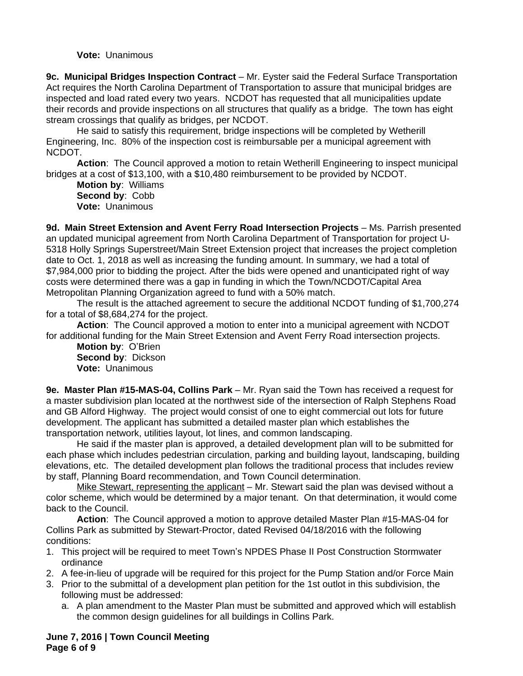**Vote:** Unanimous

**9c. Municipal Bridges Inspection Contract** – Mr. Eyster said the Federal Surface Transportation Act requires the North Carolina Department of Transportation to assure that municipal bridges are inspected and load rated every two years. NCDOT has requested that all municipalities update their records and provide inspections on all structures that qualify as a bridge. The town has eight stream crossings that qualify as bridges, per NCDOT.

He said to satisfy this requirement, bridge inspections will be completed by Wetherill Engineering, Inc. 80% of the inspection cost is reimbursable per a municipal agreement with NCDOT.

**Action**: The Council approved a motion to retain Wetherill Engineering to inspect municipal bridges at a cost of \$13,100, with a \$10,480 reimbursement to be provided by NCDOT.

**Motion by**: Williams **Second by**: Cobb **Vote:** Unanimous

**9d. Main Street Extension and Avent Ferry Road Intersection Projects** – Ms. Parrish presented an updated municipal agreement from North Carolina Department of Transportation for project U-5318 Holly Springs Superstreet/Main Street Extension project that increases the project completion date to Oct. 1, 2018 as well as increasing the funding amount. In summary, we had a total of \$7,984,000 prior to bidding the project. After the bids were opened and unanticipated right of way costs were determined there was a gap in funding in which the Town/NCDOT/Capital Area Metropolitan Planning Organization agreed to fund with a 50% match.

The result is the attached agreement to secure the additional NCDOT funding of \$1,700,274 for a total of \$8,684,274 for the project.

**Action**: The Council approved a motion to enter into a municipal agreement with NCDOT for additional funding for the Main Street Extension and Avent Ferry Road intersection projects.

**Motion by**: O'Brien **Second by**: Dickson **Vote:** Unanimous

**9e. Master Plan #15-MAS-04, Collins Park** – Mr. Ryan said the Town has received a request for a master subdivision plan located at the northwest side of the intersection of Ralph Stephens Road and GB Alford Highway. The project would consist of one to eight commercial out lots for future development. The applicant has submitted a detailed master plan which establishes the transportation network, utilities layout, lot lines, and common landscaping.

He said if the master plan is approved, a detailed development plan will to be submitted for each phase which includes pedestrian circulation, parking and building layout, landscaping, building elevations, etc. The detailed development plan follows the traditional process that includes review by staff, Planning Board recommendation, and Town Council determination.

Mike Stewart, representing the applicant – Mr. Stewart said the plan was devised without a color scheme, which would be determined by a major tenant. On that determination, it would come back to the Council.

**Action**: The Council approved a motion to approve detailed Master Plan #15-MAS-04 for Collins Park as submitted by Stewart-Proctor, dated Revised 04/18/2016 with the following conditions:

- 1. This project will be required to meet Town's NPDES Phase II Post Construction Stormwater ordinance
- 2. A fee-in-lieu of upgrade will be required for this project for the Pump Station and/or Force Main
- 3. Prior to the submittal of a development plan petition for the 1st outlot in this subdivision, the following must be addressed:
	- a. A plan amendment to the Master Plan must be submitted and approved which will establish the common design guidelines for all buildings in Collins Park.

**June 7, 2016 | Town Council Meeting Page 6 of 9**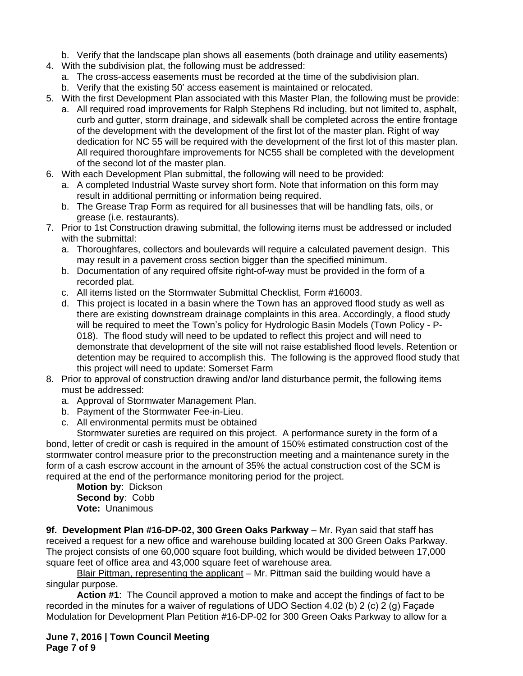b. Verify that the landscape plan shows all easements (both drainage and utility easements)

- 4. With the subdivision plat, the following must be addressed:
	- a. The cross-access easements must be recorded at the time of the subdivision plan.
	- b. Verify that the existing 50' access easement is maintained or relocated.
- 5. With the first Development Plan associated with this Master Plan, the following must be provide:
	- a. All required road improvements for Ralph Stephens Rd including, but not limited to, asphalt, curb and gutter, storm drainage, and sidewalk shall be completed across the entire frontage of the development with the development of the first lot of the master plan. Right of way dedication for NC 55 will be required with the development of the first lot of this master plan. All required thoroughfare improvements for NC55 shall be completed with the development of the second lot of the master plan.
- 6. With each Development Plan submittal, the following will need to be provided:
	- a. A completed Industrial Waste survey short form. Note that information on this form may result in additional permitting or information being required.
	- b. The Grease Trap Form as required for all businesses that will be handling fats, oils, or grease (i.e. restaurants).
- 7. Prior to 1st Construction drawing submittal, the following items must be addressed or included with the submittal:
	- a. Thoroughfares, collectors and boulevards will require a calculated pavement design. This may result in a pavement cross section bigger than the specified minimum.
	- b. Documentation of any required offsite right-of-way must be provided in the form of a recorded plat.
	- c. All items listed on the Stormwater Submittal Checklist, Form #16003.
	- d. This project is located in a basin where the Town has an approved flood study as well as there are existing downstream drainage complaints in this area. Accordingly, a flood study will be required to meet the Town's policy for Hydrologic Basin Models (Town Policy - P-018). The flood study will need to be updated to reflect this project and will need to demonstrate that development of the site will not raise established flood levels. Retention or detention may be required to accomplish this. The following is the approved flood study that this project will need to update: Somerset Farm
- 8. Prior to approval of construction drawing and/or land disturbance permit, the following items must be addressed:
	- a. Approval of Stormwater Management Plan.
	- b. Payment of the Stormwater Fee-in-Lieu.
	- c. All environmental permits must be obtained

Stormwater sureties are required on this project. A performance surety in the form of a bond, letter of credit or cash is required in the amount of 150% estimated construction cost of the stormwater control measure prior to the preconstruction meeting and a maintenance surety in the form of a cash escrow account in the amount of 35% the actual construction cost of the SCM is required at the end of the performance monitoring period for the project.

**Motion by**: Dickson **Second by**: Cobb **Vote:** Unanimous

**9f. Development Plan #16-DP-02, 300 Green Oaks Parkway** – Mr. Ryan said that staff has received a request for a new office and warehouse building located at 300 Green Oaks Parkway. The project consists of one 60,000 square foot building, which would be divided between 17,000 square feet of office area and 43,000 square feet of warehouse area.

Blair Pittman, representing the applicant – Mr. Pittman said the building would have a singular purpose.

**Action #1**: The Council approved a motion to make and accept the findings of fact to be recorded in the minutes for a waiver of regulations of UDO Section 4.02 (b) 2 (c) 2 (g) Façade Modulation for Development Plan Petition #16-DP-02 for 300 Green Oaks Parkway to allow for a

**June 7, 2016 | Town Council Meeting Page 7 of 9**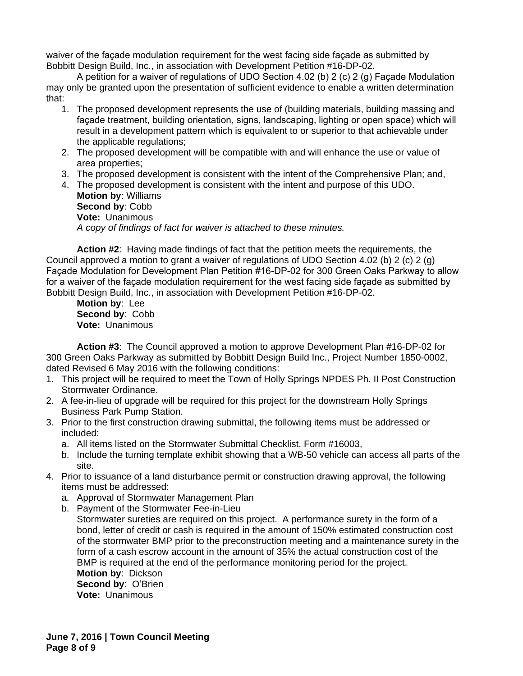waiver of the façade modulation requirement for the west facing side façade as submitted by Bobbitt Design Build, Inc., in association with Development Petition #16-DP-02.

A petition for a waiver of regulations of UDO Section 4.02 (b) 2 (c) 2 (g) Façade Modulation may only be granted upon the presentation of sufficient evidence to enable a written determination that:

- 1. The proposed development represents the use of (building materials, building massing and façade treatment, building orientation, signs, landscaping, lighting or open space) which will result in a development pattern which is equivalent to or superior to that achievable under the applicable regulations;
- 2. The proposed development will be compatible with and will enhance the use or value of area properties;
- 3. The proposed development is consistent with the intent of the Comprehensive Plan; and,

4. The proposed development is consistent with the intent and purpose of this UDO. **Motion by**: Williams **Second by**: Cobb **Vote:** Unanimous *A copy of findings of fact for waiver is attached to these minutes.*

**Action #2**: Having made findings of fact that the petition meets the requirements, the Council approved a motion to grant a waiver of regulations of UDO Section 4.02 (b) 2 (c) 2 (g) Façade Modulation for Development Plan Petition #16-DP-02 for 300 Green Oaks Parkway to allow for a waiver of the façade modulation requirement for the west facing side façade as submitted by Bobbitt Design Build, Inc., in association with Development Petition #16-DP-02.

**Motion by**: Lee **Second by**: Cobb **Vote:** Unanimous

**Action #3**: The Council approved a motion to approve Development Plan #16-DP-02 for 300 Green Oaks Parkway as submitted by Bobbitt Design Build Inc., Project Number 1850-0002, dated Revised 6 May 2016 with the following conditions:

- 1. This project will be required to meet the Town of Holly Springs NPDES Ph. II Post Construction Stormwater Ordinance.
- 2. A fee-in-lieu of upgrade will be required for this project for the downstream Holly Springs Business Park Pump Station.
- 3. Prior to the first construction drawing submittal, the following items must be addressed or included:
	- a. All items listed on the Stormwater Submittal Checklist, Form #16003,
	- b. Include the turning template exhibit showing that a WB-50 vehicle can access all parts of the site.
- 4. Prior to issuance of a land disturbance permit or construction drawing approval, the following items must be addressed:
	- a. Approval of Stormwater Management Plan
	- b. Payment of the Stormwater Fee-in-Lieu Stormwater sureties are required on this project. A performance surety in the form of a bond, letter of credit or cash is required in the amount of 150% estimated construction cost of the stormwater BMP prior to the preconstruction meeting and a maintenance surety in the form of a cash escrow account in the amount of 35% the actual construction cost of the BMP is required at the end of the performance monitoring period for the project. **Motion by**: Dickson **Second by**: O'Brien **Vote:** Unanimous